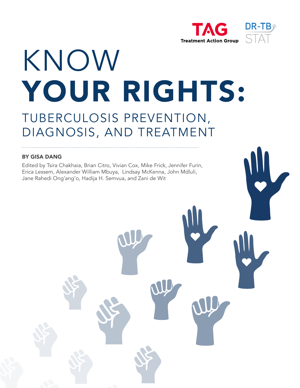



# KNOW YOUR RIGHTS: TUBERCULOSIS PREVENTION,

# DIAGNOSIS, AND TREATMENT

#### BY GISA DANG

Edited by Tsira Chakhaia, Brian Citro, Vivian Cox, Mike Frick, Jennifer Furin, Erica Lessem, Alexander William Mbuya, Lindsay McKenna, John Mdluli, Jane Rahedi Ong'ang'o, Hadija H. Semvua, and Zani de Wit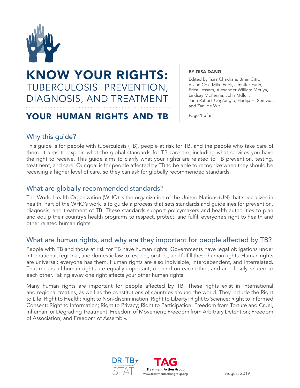

# KNOW YOUR RIGHTS: TUBERCULOSIS PREVENTION, DIAGNOSIS, AND TREATMENT

# YOUR HUMAN RIGHTS AND TB Page 1 of 6

BY GISA DANG

Edited by Tsira Chakhaia, Brian Citro, Vivian Cox, Mike Frick, Jennifer Furin, Erica Lessem, Alexander William Mbuya, Lindsay McKenna, John Mdluli, Jane Rahedi Ong'ang'o, Hadija H. Semvua, and Zani de Wit

# Why this guide?

This guide is for people with tuberculosis (TB), people at risk for TB, and the people who take care of them. It aims to explain what the global standards for TB care are, including what services you have the right to receive. This guide aims to clarify what your rights are related to TB prevention, testing, treatment, and care. Our goal is for people affected by TB to be able to recognize when they should be receiving a higher level of care, so they can ask for globally recommended standards.

# What are globally recommended standards?

The World Health Organization (WHO) is the organization of the United Nations (UN) that specializes in health. Part of the WHO's work is to guide a process that sets standards and guidelines for prevention, diagnosis, and treatment of TB. These standards support policymakers and health authorities to plan and equip their country's health programs to respect, protect, and fulfill everyone's right to health and other related human rights.

# What are human rights, and why are they important for people affected by TB?

People with TB and those at risk for TB have human rights. Governments have legal obligations under international, regional, and domestic law to respect, protect, and fulfill these human rights. Human rights are universal: everyone has them. Human rights are also indivisible, interdependent, and interrelated. That means all human rights are equally important, depend on each other, and are closely related to each other. Taking away one right affects your other human rights.

Many human rights are important for people affected by TB. These rights exist in international and regional treaties, as well as the constitutions of countries around the world. They include the Right to Life; Right to Health; Right to Non-discrimination; Right to Liberty; Right to Science; Right to Informed Consent; Right to Information; Right to Privacy; Right to Participation; Freedom from Torture and Cruel, Inhuman, or Degrading Treatment; Freedom of Movement; Freedom from Arbitrary Detention; Freedom of Association; and Freedom of Assembly.

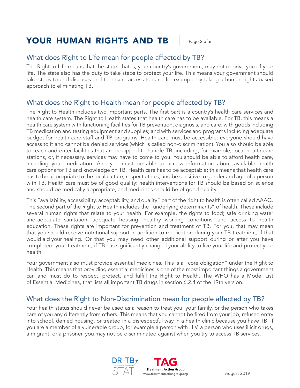# YOUR HUMAN RIGHTS AND TB | Page 2 of 6

# What does Right to Life mean for people affected by TB?

The Right to Life means that the state, that is, your country's government, may not deprive you of your life. The state also has the duty to take steps to protect your life. This means your government should take steps to end diseases and to ensure access to care, for example by taking a human-rights-based approach to eliminating TB.

# What does the Right to Health mean for people affected by TB?

The Right to Health includes two important parts. The first part is a country's health care services and health care system. The Right to Health states that health care has to be available. For TB, this means a health care system with functioning facilities for TB prevention, diagnosis, and care; with goods including TB medication and testing equipment and supplies; and with services and programs including adequate budget for health care staff and TB programs. Health care must be accessible: everyone should have access to it and cannot be denied services (which is called non-discrimination). You also should be able to reach and enter facilities that are equipped to handle TB, including, for example, local health care stations, or, if necessary, services may have to come to you. You should be able to afford health care, including your medication. And you must be able to access information about available health care options for TB and knowledge on TB. Health care has to be acceptable; this means that health care has to be appropriate to the local culture, respect ethics, and be sensitive to gender and age of a person with TB. Health care must be of good quality: health interventions for TB should be based on science and should be medically appropriate, and medicines should be of good quality.

This "availability, accessibility, acceptability, and quality" part of the right to health is often called AAAQ. The second part of the Right to Health includes the "underlying determinants" of health. These include several human rights that relate to your health. For example, the rights to food; safe drinking water and adequate sanitation; adequate housing; healthy working conditions; and access to health education. These rights are important for prevention and treatment of TB. For you, that may mean that you should receive nutritional support in addition to medication during your TB treatment, if that would aid your healing. Or that you may need other additional support during or after you have completed your treatment, if TB has significantly changed your ability to live your life and protect your health.

Your government also must provide essential medicines. This is a "core obligation" under the Right to Health. This means that providing essential medicines is one of the most important things a government can and must do to respect, protect, and fulfill the Right to Health. The WHO has a Model List of Essential Medicines, that lists all important TB drugs in section 6.2.4 of the 19th version.

# What does the Right to Non-Discrimination mean for people affected by TB?

Your health status should never be used as a reason to treat you, your family, or the person who takes care of you any differently from others. This means that you cannot be fired from your job, refused entry into school, denied housing, or treated in a disrespectful way in a health clinic because you have TB. If you are a member of a vulnerable group, for example a person with HIV, a person who uses illicit drugs, a migrant, or a prisoner, you may not be discriminated against when you try to access TB services.

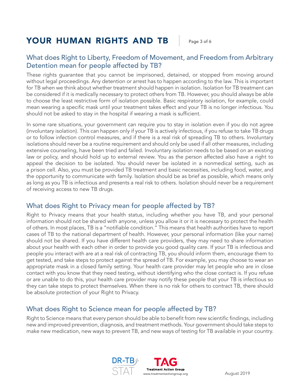# YOUR HUMAN RIGHTS AND TB | Page 3 of 6

# What does Right to Liberty, Freedom of Movement, and Freedom from Arbitrary Detention mean for people affected by TB?

These rights guarantee that you cannot be imprisoned, detained, or stopped from moving around without legal proceedings. Any detention or arrest has to happen according to the law. This is important for TB when we think about whether treatment should happen in isolation. Isolation for TB treatment can be considered if it is medically necessary to protect others from TB. However, you should always be able to choose the least restrictive form of isolation possible. Basic respiratory isolation, for example, could mean wearing a specific mask until your treatment takes effect and your TB is no longer infectious. You should not be asked to stay in the hospital if wearing a mask is sufficient.

In some rare situations, your government can require you to stay in isolation even if you do not agree (involuntary isolation). This can happen only if your TB is actively infectious, if you refuse to take TB drugs or to follow infection control measures, and if there is a real risk of spreading TB to others. Involuntary isolations should never be a routine requirement and should only be used if all other measures, including extensive counseling, have been tried and failed. Involuntary isolation needs to be based on an existing law or policy, and should hold up to external review. You as the person affected also have a right to appeal the decision to be isolated. You should never be isolated in a nonmedical setting, such as a prison cell. Also, you must be provided TB treatment and basic necessities, including food, water, and the opportunity to communicate with family. Isolation should be as brief as possible, which means only as long as you TB is infectious and presents a real risk to others. Isolation should never be a requirement of receiving access to new TB drugs.

# What does Right to Privacy mean for people affected by TB?

Right to Privacy means that your health status, including whether you have TB, and your personal information should not be shared with anyone, unless you allow it or it is necessary to protect the health of others. In most places, TB is a "notifiable condition." This means that health authorities have to report cases of TB to the national department of health. However, your personal information (like your name) should not be shared. If you have different health care providers, they may need to share information about your health with each other in order to provide you good quality care. If your TB is infectious and people you interact with are at a real risk of contracting TB, you should inform them, encourage them to get tested, and take steps to protect against the spread of TB. For example, you may choose to wear an appropriate mask in a closed family setting. Your health care provider may let people who are in close contact with you know that they need testing, without identifying who the close contact is. If you refuse or are unable to do this, your health care provider may notify these people that your TB is infectious so they can take steps to protect themselves. When there is no risk for others to contract TB, there should be absolute protection of your Right to Privacy.

# What does Right to Science mean for people affected by TB?

Right to Science means that every person should be able to benefit from new scientific findings, including new and improved prevention, diagnosis, and treatment methods. Your government should take steps to make new medication, new ways to prevent TB, and new ways of testing for TB available in your country.

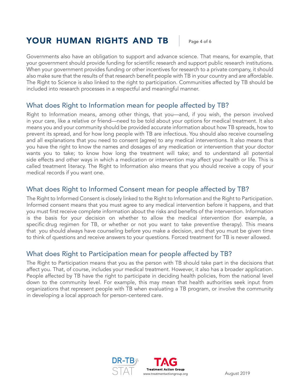# YOUR HUMAN RIGHTS AND TB | Page 4 of 6

Governments also have an obligation to support and advance science. That means, for example, that your government should provide funding for scientific research and support public research institutions. When your government provides funding or other incentives for research to a private company, it should also make sure that the results of that research benefit people with TB in your country and are affordable. The Right to Science is also linked to the right to participation. Communities affected by TB should be included into research processes in a respectful and meaningful manner.

# What does Right to Information mean for people affected by TB?

Right to Information means, among other things, that you—and, if you wish, the person involved in your care, like a relative or friend—need to be told about your options for medical treatment. It also means you and your community should be provided accurate information about how TB spreads, how to prevent its spread, and for how long people with TB are infectious. You should also receive counseling and all explanations that you need to consent (agree) to any medical interventions. It also means that you have the right to know the names and dosages of any medication or intervention that your doctor wants you to take; to know how long the treatment will take; and to understand all potential side effects and other ways in which a medication or intervention may affect your health or life. This is called treatment literacy. The Right to Information also means that you should receive a copy of your medical records if you want one.

# What does Right to Informed Consent mean for people affected by TB?

The Right to Informed Consent is closely linked to the Right to Information and the Right to Participation. Informed consent means that you must agree to any medical intervention before it happens, and that you must first receive complete information about the risks and benefits of the intervention. Information is the basis for your decision on whether to allow the medical intervention (for example, a specific drug regimen for TB, or whether or not you want to take preventive therapy). This means that you should always have counseling before you make a decision, and that you must be given time to think of questions and receive answers to your questions. Forced treatment for TB is never allowed.

# What does Right to Participation mean for people affected by TB?

The Right to Participation means that you as the person with TB should take part in the decisions that affect you. That, of course, includes your medical treatment. However, it also has a broader application. People affected by TB have the right to participate in deciding health policies, from the national level down to the community level. For example, this may mean that health authorities seek input from organizations that represent people with TB when evaluating a TB program, or involve the community in developing a local approach for person-centered care.

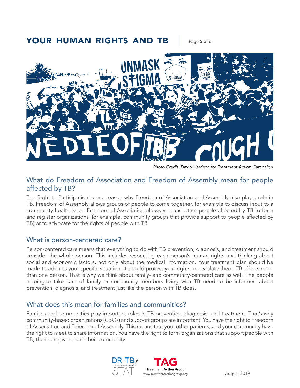# YOUR HUMAN RIGHTS AND TB | Page 5 of 6



*Photo Credit: David Harrison for Treatment Action Campaign*

### What do Freedom of Association and Freedom of Assembly mean for people affected by TB?

The Right to Participation is one reason why Freedom of Association and Assembly also play a role in TB. Freedom of Assembly allows groups of people to come together, for example to discuss input to a community health issue. Freedom of Association allows you and other people affected by TB to form and register organizations (for example, community groups that provide support to people affected by TB) or to advocate for the rights of people with TB.

### What is person-centered care?

Person-centered care means that everything to do with TB prevention, diagnosis, and treatment should consider the whole person. This includes respecting each person's human rights and thinking about social and economic factors, not only about the medical information. Your treatment plan should be made to address your specific situation. It should protect your rights, not violate them. TB affects more than one person. That is why we think about family- and community-centered care as well. The people helping to take care of family or community members living with TB need to be informed about prevention, diagnosis, and treatment just like the person with TB does.

### What does this mean for families and communities?

Families and communities play important roles in TB prevention, diagnosis, and treatment. That's why community-based organizations (CBOs) and support groups are important. You have the right to Freedom of Association and Freedom of Assembly. This means that you, other patients, and your community have the right to meet to share information. You have the right to form organizations that support people with TB, their caregivers, and their community.

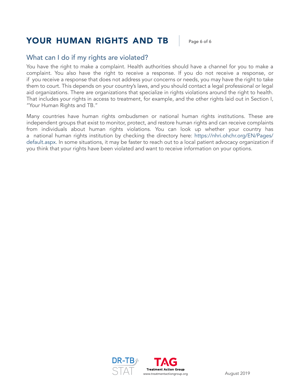# YOUR HUMAN RIGHTS AND TB | Page 6 of 6

### What can I do if my rights are violated?

You have the right to make a complaint. Health authorities should have a channel for you to make a complaint. You also have the right to receive a response. If you do not receive a response, or if you receive a response that does not address your concerns or needs, you may have the right to take them to court. This depends on your country's laws, and you should contact a legal professional or legal aid organizations. There are organizations that specialize in rights violations around the right to health. That includes your rights in access to treatment, for example, and the other rights laid out in Section I, "Your Human Rights and TB."

Many countries have human rights ombudsmen or national human rights institutions. These are independent groups that exist to monitor, protect, and restore human rights and can receive complaints from individuals about human rights violations. You can look up whether your country has a national human rights institution by checking the directory here: [https://nhri.ohchr.org/EN/Pages/](https://nhri.ohchr.org/EN/Pages/default.aspx) [default.aspx.](https://nhri.ohchr.org/EN/Pages/default.aspx) In some situations, it may be faster to reach out to a local patient advocacy organization if you think that your rights have been violated and want to receive information on your options.

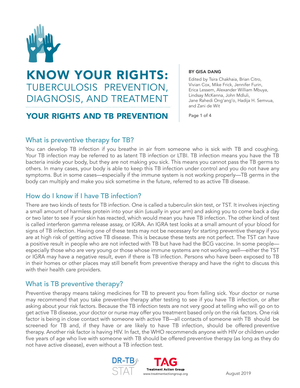

# KNOW YOUR RIGHTS: TUBERCULOSIS PREVENTION, DIAGNOSIS, AND TREATMENT

# YOUR RIGHTS AND TB PREVENTION

BY GISA DANG

Edited by Tsira Chakhaia, Brian Citro, Vivian Cox, Mike Frick, Jennifer Furin, Erica Lessem, Alexander William Mbuya, Lindsay McKenna, John Mdluli, Jane Rahedi Ong'ang'o, Hadija H. Semvua, and Zani de Wit

Page 1 of 4

# What is preventive therapy for TB?

You can develop TB infection if you breathe in air from someone who is sick with TB and coughing. Your TB infection may be referred to as latent TB infection or LTBI. TB infection means you have the TB bacteria inside your body, but they are not making you sick. This means you cannot pass the TB germs to others. In many cases, your body is able to keep this TB infection under control and you do not have any symptoms. But in some cases—especially if the immune system is not working properly—TB germs in the body can multiply and make you sick sometime in the future, referred to as active TB disease.

# How do I know if I have TB infection?

There are two kinds of tests for TB infection. One is called a tuberculin skin test, or TST. It involves injecting a small amount of harmless protein into your skin (usually in your arm) and asking you to come back a day or two later to see if your skin has reacted, which would mean you have TB infection. The other kind of test is called interferon gamma release assay, or IGRA. An IGRA test looks at a small amount of your blood for signs of TB infection. Having one of these tests may not be necessary for starting preventive therapy if you are at high risk of getting active TB disease. This is because these tests are not perfect. The TST can have a positive result in people who are not infected with TB but have had the BCG vaccine. In some people especially those who are very young or those whose immune systems are not working well—either the TST or IGRA may have a negative result, even if there is TB infection. Persons who have been exposed to TB in their homes or other places may still benefit from preventive therapy and have the right to discuss this with their health care providers.

# What is TB preventive therapy?

Preventive therapy means taking medicines for TB to prevent you from falling sick. Your doctor or nurse may recommend that you take preventive therapy after testing to see if you have TB infection, or after asking about your risk factors. Because the TB infection tests are not very good at telling who will go on to get active TB disease, your doctor or nurse may offer you treatment based only on the risk factors. One risk factor is being in close contact with someone with active TB—all contacts of someone with TB should be screened for TB and, if they have or are likely to have TB infection, should be offered preventive therapy. Another risk factor is having HIV. In fact, the WHO recommends anyone with HIV or children under five years of age who live with someone with TB should be offered preventive therapy (as long as they do not have active disease), even without a TB infection test.

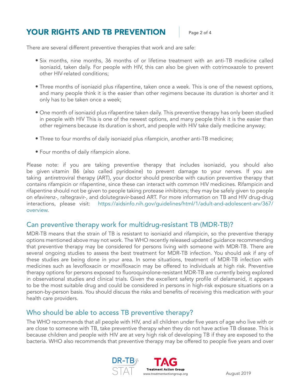# YOUR RIGHTS AND TB PREVENTION Page 2 of 4

There are several different preventive therapies that work and are safe:

- Six months, nine months, 36 months of or lifetime treatment with an anti-TB medicine called isoniazid, taken daily. For people with HIV, this can also be given with cotrimoxazole to prevent other HIV-related conditions;
- Three months of isoniazid plus rifapentine, taken once a week. This is one of the newest options, and many people think it is the easier than other regimens because its duration is shorter and it only has to be taken once a week;
- One month of isoniazid plus rifapentine taken daily. This preventive therapy has only been studied in people with HIV This is one of the newest options, and many people think it is the easier than other regimens because its duration is short, and people with HIV take daily medicine anyway;
- Three to four months of daily isoniazid plus rifampicin, another anti-TB medicine;
- Four months of daily rifampicin alone.

Please note: if you are taking preventive therapy that includes isoniazid, you should also be given vitamin B6 (also called pyridoxine) to prevent damage to your nerves. If you are taking antiretroviral therapy (ART), your doctor should prescribe with caution preventive therapy that contains rifampicin or rifapentine, since these can interact with common HIV medicines. Rifampicin and rifapentine should not be given to people taking protease inhibitors; they may be safely given to people on efavirenz-, raltegravir-, and dolutegravir-based ART. For more information on TB and HIV drug-drug interactions, please visit: [https://aidsinfo.nih.gov/guidelines/html/1/adult-and-adolescent-arv/367/](https://aidsinfo.nih.gov/guidelines/html/1/adult-and-adolescent-arv/367/overview) [overview.](https://aidsinfo.nih.gov/guidelines/html/1/adult-and-adolescent-arv/367/overview)

### Can preventive therapy work for multidrug-resistant TB (MDR-TB)?

MDR-TB means that the strain of TB is resistant to isoniazid and rifampicin, so the preventive therapy options mentioned above may not work. The WHO recently released updated guidance recommending that preventive therapy may be considered for persons living with someone with MDR-TB. There are several ongoing studies to assess the best treatment for MDR-TB infection. You should ask if any of these studies are being done in your area. In some situations, treatment of MDR-TB infection with medicines such as levofloxacin or moxifloxacin may be offered to individuals at high risk. Preventive therapy options for persons exposed to fluoroquinolone-resistant MDR-TB are currently being explored in observational studies and clinical trials. Given the excellent safety profile of delamanid, it appears to be the most suitable drug and could be considered in persons in high-risk exposure situations on a person-by-person basis. You should discuss the risks and benefits of receiving this medication with your health care providers.

# Who should be able to access TB preventive therapy?

The WHO recommends that all people with HIV, and all children under five years of age who live with or are close to someone with TB, take preventive therapy when they do not have active TB disease. This is because children and people with HIV are at very high risk of developing TB if they are exposed to the bacteria. WHO also recommends that preventive therapy may be offered to people five years and over

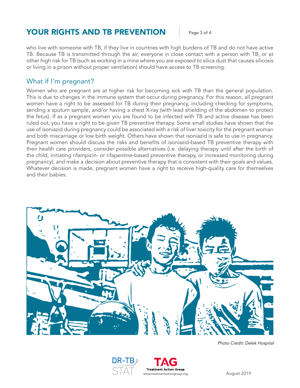# **YOUR RIGHTS AND TB PREVENTION Fage 3 of 4**

who live with someone with TB, if they live in countries with high burdens of TB and do not have active TB. Because TB is transmitted through the air, everyone in close contact with a person with TB, or at other high risk for TB (such as working in a mine where you are exposed to silica dust that causes silicosis or living in a prison without proper ventilation) should have access to TB screening.

### What if I'm pregnant?

Women who are pregnant are at higher risk for becoming sick with TB than the general population. This is due to changes in the immune system that occur during pregnancy. For this reason, all pregnant women have a right to be assessed for TB during their pregnancy, including checking for symptoms, sending a sputum sample, and/or having a chest X-ray (with lead shielding of the abdomen to protect the fetus). If as a pregnant women you are found to be infected with TB and active disease has been ruled out, you have a right to be given TB preventive therapy. Some small studies have shown that the use of isoniazid during pregnancy could be associated with a risk of liver toxicity for the pregnant woman and both miscarriage or low birth weight. Others have shown that isoniazid is safe to use in pregnancy. Pregnant women should discuss the risks and benefits of isoniazid-based TB preventive therapy with their health care providers, consider possible alternatives (i.e. delaying therapy until after the birth of the child, initiating rifampicin- or rifapentine-based preventive therapy, or increased monitoring during pregnancy), and make a decision about preventive therapy that is consistent with their goals and values. Whatever decision is made, pregnant women have a right to receive high-quality care for themselves and their babies.



*Photo Credit: Delek Hospital*

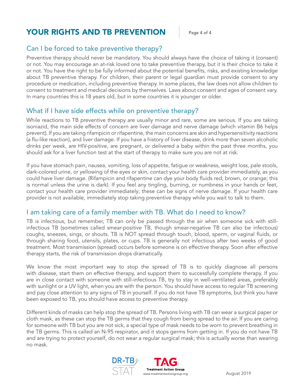# **YOUR RIGHTS AND TB PREVENTION Page 4 of 4**

# Can I be forced to take preventive therapy?

Preventive therapy should never be mandatory. You should always have the choice of taking it (consent) or not. You may encourage an at-risk loved one to take preventive therapy, but it is their choice to take it or not. You have the right to be fully informed about the potential benefits, risks, and existing knowledge about TB preventive therapy. For children, their parent or legal guardian must provide consent to any procedure or medication, including preventive therapy. In some places, the law does not allow children to consent to treatment and medical decisions by themselves. Laws about consent and ages of consent vary. In many countries this is 18 years old, but in some countries it is younger or older.

# What if I have side effects while on preventive therapy?

While reactions to TB preventive therapy are usually minor and rare, some are serious. If you are taking isoniazid, the main side effects of concern are liver damage and nerve damage (which vitamin B6 helps prevent). If you are taking rifampicin or rifapentine, the main concerns are skin and hypersensitivity reactions (a flu-like reaction), and liver damage. If you have a history of liver disease, drink more than seven alcoholic drinks per week, are HIV-positive, are pregnant, or delivered a baby within the past three months, you should ask for a liver function test at the start of therapy to make sure you are not at risk.

If you have stomach pain, nausea, vomiting, loss of appetite, fatigue or weakness, weight loss, pale stools, dark-colored urine, or yellowing of the eyes or skin, contact your health care provider immediately, as you could have liver damage. (Rifampicin and rifapentine can dye your body fluids red, brown, or orange; this is normal unless the urine is dark). If you feel any tingling, burning, or numbness in your hands or feet, contact your health care provider immediately; these can be signs of nerve damage. If your health care provider is not available, immediately stop taking preventive therapy while you wait to talk to them.

# I am taking care of a family member with TB. What do I need to know?

TB is infectious, but remember, TB can only be passed through the air when someone sick with stillinfectious TB (sometimes called smear-positive TB, though smear-negative TB can also be infectious) coughs, sneezes, sings, or shouts. TB is NOT spread through touch, blood, sperm, or vaginal fluids, or through sharing food, utensils, plates, or cups. TB is generally not infectious after two weeks of good treatment. Most transmission (spread) occurs before someone is on effective therapy. Soon after effective therapy starts, the risk of transmission drops dramatically.

We know the most important way to stop the spread of TB is to quickly diagnose all persons with disease, start them on effective therapy, and support them to successfully complete therapy. If you are in close contact with someone with still-infectious TB, try to stay in well-ventilated areas, preferably with sunlight or a UV light, when you are with the person. You should have access to regular TB screening and pay close attention to any signs of TB in yourself. If you do not have TB symptoms, but think you have been exposed to TB, you should have access to preventive therapy.

Different kinds of masks can help stop the spread of TB. Persons living with TB can wear a surgical paper or cloth mask, as these can stop the TB germs that they cough from being spread to the air. If you are caring for someone with TB but you are not sick, a special type of mask needs to be worn to prevent breathing in the TB germs. This is called an N-95 respirator, and it stops germs from getting in. If you do not have TB and are trying to protect yourself, do not wear a regular surgical mask; this is actually worse than wearing no mask.

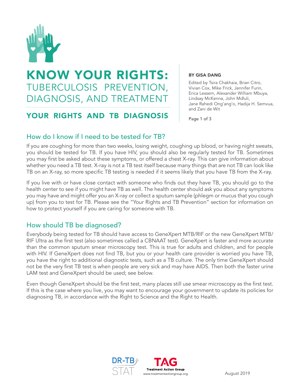

# KNOW YOUR RIGHTS: TUBERCULOSIS PREVENTION, DIAGNOSIS, AND TREATMENT

# YOUR RIGHTS AND TB DIAGNOSIS

#### BY GISA DANG

Edited by Tsira Chakhaia, Brian Citro, Vivian Cox, Mike Frick, Jennifer Furin, Erica Lessem, Alexander William Mbuya, Lindsay McKenna, John Mdluli, Jane Rahedi Ong'ang'o, Hadija H. Semvua, and Zani de Wit

Page 1 of 3

# How do I know if I need to be tested for TB?

If you are coughing for more than two weeks, losing weight, coughing up blood, or having night sweats, you should be tested for TB. If you have HIV, you should also be regularly tested for TB. Sometimes you may first be asked about these symptoms, or offered a chest X-ray. This can give information about whether you need a TB test. X-ray is not a TB test itself because many things that are not TB can look like TB on an X-ray, so more specific TB testing is needed if it seems likely that you have TB from the X-ray.

If you live with or have close contact with someone who finds out they have TB, you should go to the health center to see if you might have TB as well. The health center should ask you about any symptoms you may have and might offer you an X-ray or collect a sputum sample (phlegm or mucus that you cough up) from you to test for TB. Please see the "Your Rights and TB Prevention" section for information on how to protect yourself if you are caring for someone with TB.

# How should TB be diagnosed?

Everybody being tested for TB should have access to GeneXpert MTB/RIF or the new GeneXpert MTB/ RIF Ultra as the first test (also sometimes called a CBNAAT test). GeneXpert is faster and more accurate than the common sputum smear microscopy test. This is true for adults and children, and for people with HIV. If GeneXpert does not find TB, but you or your health care provider is worried you have TB, you have the right to additional diagnostic tests, such as a TB culture. The only time GeneXpert should not be the very first TB test is when people are very sick and may have AIDS. Then both the faster urine LAM test and GeneXpert should be used; see below.

Even though GeneXpert should be the first test, many places still use smear microscopy as the first test. If this is the case where you live, you may want to encourage your government to update its policies for diagnosing TB, in accordance with the Right to Science and the Right to Health.

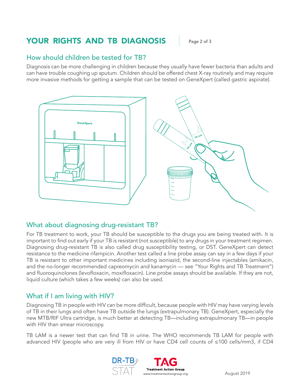# YOUR RIGHTS AND TB DIAGNOSIS Page 2 of 3

### How should children be tested for TB?

Diagnosis can be more challenging in children because they usually have fewer bacteria than adults and can have trouble coughing up sputum. Children should be offered chest X-ray routinely and may require more invasive methods for getting a sample that can be tested on GeneXpert (called gastric aspirate).



### What about diagnosing drug-resistant TB?

For TB treatment to work, your TB should be susceptible to the drugs you are being treated with. It is important to find out early if your TB is resistant (not susceptible) to any drugs in your treatment regimen. Diagnosing drug-resistant TB is also called drug susceptibility testing, or DST. GeneXpert can detect resistance to the medicine rifampicin. Another test called a line probe assay can say in a few days if your TB is resistant to other important medicines including isoniazid, the second-line injectables (amikacin, and the no-longer recommended capreomycin and kanamycin — see "Your Rights and TB Treatment") and fluoroquinolones (levofloxacin, moxifloxacin). Line probe assays should be available. If they are not, liquid culture (which takes a few weeks) can also be used.

# What if I am living with HIV?

Diagnosing TB in people with HIV can be more difficult, because people with HIV may have varying levels of TB in their lungs and often have TB outside the lungs (extrapulmonary TB). GeneXpert, especially the new MTB/RIF Ultra cartridge, is much better at detecting TB—including extrapulmonary TB—in people with HIV than smear microscopy.

TB LAM is a newer test that can find TB in urine. The WHO recommends TB LAM for people with advanced HIV (people who are very ill from HIV or have CD4 cell counts of ≤100 cells/mm3, if CD4

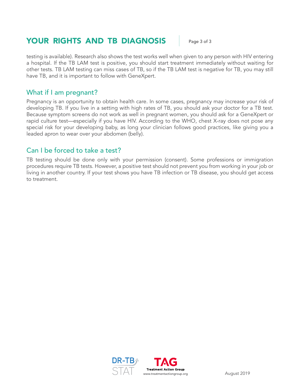# YOUR RIGHTS AND TB DIAGNOSIS | Page 3 of 3

testing is available). Research also shows the test works well when given to any person with HIV entering a hospital. If the TB LAM test is positive, you should start treatment immediately without waiting for other tests. TB LAM testing can miss cases of TB, so if the TB LAM test is negative for TB, you may still have TB, and it is important to follow with GeneXpert.

### What if I am pregnant?

Pregnancy is an opportunity to obtain health care. In some cases, pregnancy may increase your risk of developing TB. If you live in a setting with high rates of TB, you should ask your doctor for a TB test. Because symptom screens do not work as well in pregnant women, you should ask for a GeneXpert or rapid culture test—especially if you have HIV. According to the WHO, chest X-ray does not pose any special risk for your developing baby, as long your clinician follows good practices, like giving you a leaded apron to wear over your abdomen (belly).

# Can I be forced to take a test?

TB testing should be done only with your permission (consent). Some professions or immigration procedures require TB tests. However, a positive test should not prevent you from working in your job or living in another country. If your test shows you have TB infection or TB disease, you should get access to treatment.

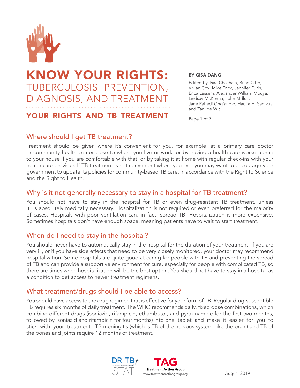

# KNOW YOUR RIGHTS: TUBERCULOSIS PREVENTION, DIAGNOSIS, AND TREATMENT

# YOUR RIGHTS AND TB TREATMENT

BY GISA DANG

Edited by Tsira Chakhaia, Brian Citro, Vivian Cox, Mike Frick, Jennifer Furin, Erica Lessem, Alexander William Mbuya, Lindsay McKenna, John Mdluli, Jane Rahedi Ong'ang'o, Hadija H. Semvua, and Zani de Wit

Page 1 of 7

# Where should I get TB treatment?

Treatment should be given where it's convenient for you, for example, at a primary care doctor or community health center close to where you live or work, or by having a health care worker come to your house if you are comfortable with that, or by taking it at home with regular check-ins with your health care provider. If TB treatment is not convenient where you live, you may want to encourage your government to update its policies for community-based TB care, in accordance with the Right to Science and the Right to Health.

### Why is it not generally necessary to stay in a hospital for TB treatment?

You should not have to stay in the hospital for TB or even drug-resistant TB treatment, unless it is absolutely medically necessary. Hospitalization is not required or even preferred for the majority of cases. Hospitals with poor ventilation can, in fact, spread TB. Hospitalization is more expensive. Sometimes hospitals don't have enough space, meaning patients have to wait to start treatment.

# When do I need to stay in the hospital?

You should never have to automatically stay in the hospital for the duration of your treatment. If you are very ill, or if you have side effects that need to be very closely monitored, your doctor may recommend hospitalization. Some hospitals are quite good at caring for people with TB and preventing the spread of TB and can provide a supportive environment for cure, especially for people with complicated TB, so there are times when hospitalization will be the best option. You should not have to stay in a hospital as a condition to get access to newer treatment regimens.

# What treatment/drugs should I be able to access?

You should have access to the drug regimen that is effective for your form of TB. Regular drug-susceptible TB requires six months of daily treatment. The WHO recommends daily, fixed dose combinations, which combine different drugs (isoniazid, rifampicin, ethambutol, and pyrazinamide for the first two months, followed by isoniazid and rifampicin for four months) into one tablet and make it easier for you to stick with your treatment. TB meningitis (which is TB of the nervous system, like the brain) and TB of the bones and joints require 12 months of treatment.

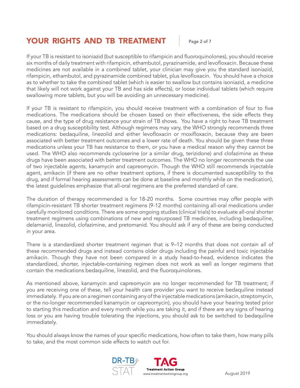# YOUR RIGHTS AND TB TREATMENT | Page 2 of 7

If your TB is resistant to isoniazid (but susceptible to rifampicin and fluoroquinolones), you should receive six months of daily treatment with rifampicin, ethambutol, pyrazinamide, and levofloxacin. Because these medicines are not available in a combined tablet, your clinician may give you the standard isoniazid, rifampicin, ethambutol, and pyrazinamide combined tablet, plus levofloxacin. You should have a choice as to whether to take the combined tablet (which is easier to swallow but contains isoniazid, a medicine that likely will not work against your TB and has side effects), or loose individual tablets (which require swallowing more tablets, but you will be avoiding an unnecessary medicine).

If your TB is resistant to rifampicin, you should receive treatment with a combination of four to five medications. The medications should be chosen based on their effectiveness, the side effects they cause, and the type of drug resistance your strain of TB shows. You have a right to have TB treatment based on a drug susceptibility test. Although regimens may vary, the WHO strongly recommends three medications: bedaquiline, linezolid and either levofloxacin or moxifloxacin, because they are been associated with better treatment outcomes and a lower rate of death. You should be given these three medications unless your TB has resistance to them, or you have a medical reason why they cannot be used. The WHO also recommends cycloserine (or a similar drug, terizidone) and clofazimine as these drugs have been associated with better treatment outcomes. The WHO no longer recommends the use of two injectable agents, kanamycin and capreomycin. Though the WHO still recommends injectable agent, amikacin (if there are no other treatment options, if there is documented susceptibility to the drug, and if formal hearing assessments can be done at baseline and monthly while on the medication), the latest guidelines emphasize that all-oral regimens are the preferred standard of care.

The duration of therapy recommended is for 18-20 months. Some countries may offer people with rifampicin-resistant TB shorter treatment regimens (9-12 months) containing all-oral medications under carefully monitored conditions. There are some ongoing studies (clinical trials) to evaluate all-oral shorter treatment regimens using combinations of new and repurposed TB medicines, including bedaquiline, delamanid, linezolid, clofazimine, and pretomanid. You should ask if any of these are being conducted in your area.

There is a standardized shorter treatment regimen that is 9–12 months that does not contain all of these recommended drugs and instead contains older drugs including the painful and toxic injectable amikacin. Though they have not been compared in a study head-to-head, evidence indicates the standardized, shorter, injectable-containing regimen does not work as well as longer regimens that contain the medications bedaquiline, linezolid, and the fluoroquinolones.

As mentioned above, kanamycin and capreomycin are no longer recommended for TB treatment; if you are receiving one of these, tell your health care provider you want to receive bedaquiline instead immediately. If you are on a regimen containing any of the injectable medications (amikacin, streptomycin, or the no-longer recommended kanamycin or capreomycin), you should have your hearing tested prior to starting this medication and every month while you are taking it, and if there are any signs of hearing loss or you are having trouble tolerating the injections, you should ask to be switched to bedaquiline immediately.

You should always know the names of your specific medications, how often to take them, how many pills to take, and the most common side effects to watch out for.

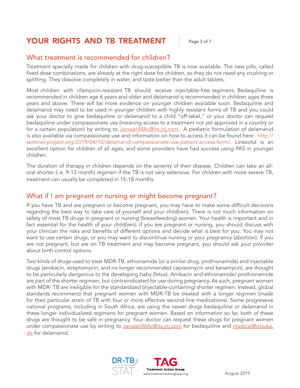# YOUR RIGHTS AND TB TREATMENT | Page 3 of 7

# What treatment is recommended for children?

Treatment specially made for children with drug-susceptible TB is now available. The new pills, called fixed dose combinations, are already at the right dose for children, so they do not need any crushing or splitting. They dissolve completely in water, and taste better than the adult tablets.

Most children with rifampicin-resistant TB should receive injectable-free regimens. Bedaquiline is recommended in children age 6 years and older and delamanid is recommended in children ages three years and above. There will be more evidence on younger children available soon. Bedaquiline and delamanid may need to be used in younger children with highly resistant forms of TB and you could ask your doctor to give bedaquiline or delamanid to a child "off-label," or your doctor can request bedaquiline under compassionate use (meaning access to a treatment not yet approved in a country or for a certain population) by writing to [JanssenMAc@its.jnj.com.](mailto:JanssenMAc@its.jnj.com) A pediatric formulation of delamanid is also available via compassionate use and information on how to access it can be found here: [http://](http://sentinel-project.org/2019/04/10/delamanid-compassionate-use-patient-access-form/) [sentinel-project.org/2019/04/10/delamanid-compassionate-use-patient-access-form/](http://sentinel-project.org/2019/04/10/delamanid-compassionate-use-patient-access-form/). Linezolid is an excellent option for children of all ages, and some providers have had success using PAS in younger children.

The duration of therapy in children depends on the severity of their disease. Children can take an alloral shorter (i.e. 9-12 month) regimen if the TB is not very extensive. For children with more severe TB, treatment can usually be completed in 15-18 months.

### What if I am pregnant or nursing or might become pregnant?

If you have TB and are pregnant or become pregnant, you may have to make some difficult decisions regarding the best way to take care of yourself and your child(ren). There is not much information on safety of most TB drugs in pregnant or nursing (breastfeeding) women. Your health is important and in fact essential for the health of your child(ren). If you are pregnant or nursing, you should discuss with your clinician the risks and benefits of different options and decide what is best for you. You may not want to use certain drugs, or you may want to discontinue nursing or your pregnancy (abortion). If you are not pregnant, but are on TB treatment and may become pregnant, you should ask your provider about birth control options.

Two kinds of drugs used to treat MDR-TB, ethionamide (or a similar drug, prothionamide) and injectable drugs (amikacin, streptomycin, and no longer recommended capreomycin and kanamycin), are thought to be particularly dangerous to the developing baby (fetus). Amikacin and ethionamide/ prothionamide are part of the shorter regimen, but contraindicated for use during pregnancy. As such, pregnant women with MDR- TB are ineligible for the standardized (injectable-containing) shorter regimen. Instead, global standards recommend that pregnant women with MDR-TB be treated with a longer regimen (made for their particular strain of TB with four or more effective second-line medications). Some progressive national programs, including in South Africa, are using the newer drugs bedaquiline or delamanid in these longer individualized regimens for pregnant women. Based on information so far, both of these drugs are thought to be safe in pregnancy. Your doctor can request these drugs for pregnant women under compassionate use by writing to [JanssenMAc@its.jnj.com](mailto:JanssenMAc@its.jnj.com) for bedaquiline and [medical@otsuka.](mailto:medical@otsuka.de) [de](mailto:medical@otsuka.de) for delamanid.

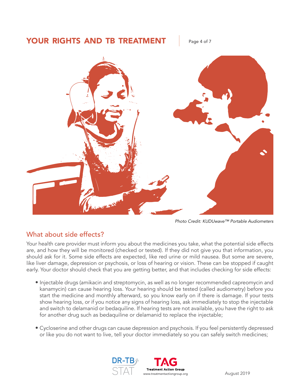# YOUR RIGHTS AND TB TREATMENT Fage 4 of 7



*Photo Credit: KUDUwave™ Portable Audiometers*

# What about side effects?

Your health care provider must inform you about the medicines you take, what the potential side effects are, and how they will be monitored (checked or tested). If they did not give you that information, you should ask for it. Some side effects are expected, like red urine or mild nausea. But some are severe, like liver damage, depression or psychosis, or loss of hearing or vision. These can be stopped if caught early. Your doctor should check that you are getting better, and that includes checking for side effects:

- Injectable drugs (amikacin and streptomycin, as well as no longer recommended capreomycin and kanamycin) can cause hearing loss. Your hearing should be tested (called audiometry) before you start the medicine and monthly afterward, so you know early on if there is damage. If your tests show hearing loss, or if you notice any signs of hearing loss, ask immediately to stop the injectable and switch to delamanid or bedaquiline. If hearing tests are not available, you have the right to ask for another drug such as bedaquiline or delamanid to replace the injectable;
- Cycloserine and other drugs can cause depression and psychosis. If you feel persistently depressed or like you do not want to live, tell your doctor immediately so you can safely switch medicines;

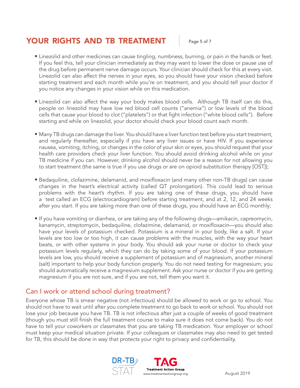# YOUR RIGHTS AND TB TREATMENT | Page 5 of 7

- Linezolid and other medicines can cause tingling, numbness, burning, or pain in the hands or feet. If you feel this, tell your clinician immediately as they may want to lower the dose or pause use of the drug before permanent nerve damage occurs. Your clinician should check for this at every visit. Linezolid can also affect the nerves in your eyes, so you should have your vision checked before starting treatment and each month while you're on treatment, and you should tell your doctor if you notice any changes in your vision while on this medication.
- Linezolid can also affect the way your body makes blood cells. Although TB itself can do this, people on linezolid may have low red blood cell counts ("anemia") or low levels of the blood cells that cause your blood to clot ("platelets") or that fight infection ("white blood cells"). Before starting and while on linezolid, your doctor should check your blood count each month.
- Many TB drugs can damage the liver. You should have a liver function test before you start treatment, and regularly thereafter, especially if you have any liver issues or have HIV. If you experience nausea, vomiting, itching, or changes in the color of your skin or eyes, you should request that your health care providers check your liver function. You should avoid drinking alcohol while on your TB medicine if you can. However, drinking alcohol should never be a reason for not allowing you to start treatment (the same is true if you use drugs or are on opioid substitution therapy [OST]);
- Bedaquiline, clofazimine, delamanid, and moxifloxacin (and many other non-TB drugs) can cause changes in the heart's electrical activity (called QT prolongation). This could lead to serious problems with the heart's rhythm. If you are taking one of these drugs, you should have a test called an ECG (electrocardiogram) before starting treatment, and at 2, 12, and 24 weeks after you start. If you are taking more than one of these drugs, you should have an ECG monthly;
- If you have vomiting or diarrhea, or are taking any of the following drugs—amikacin, capreomycin, kanamycin, streptomycin, bedaquiline, clofazimine, delamanid, or moxifloxacin—you should also have your levels of potassium checked. Potassium is a mineral in your body, like a salt. If your levels are too low or too high, it can cause problems with the muscles, with the way your heart beats, or with other systems in your body. You should ask your nurse or doctor to check your potassium levels regularly, which they can do by taking some of your blood. If your potassium levels are low, you should receive a supplement of potassium and of magnesium, another mineral (salt) important to help your body function properly. You do not need testing for magnesium; you should automatically receive a magnesium supplement. Ask your nurse or doctor if you are getting magnesium if you are not sure, and if you are not, tell them you want it.

# Can I work or attend school during treatment?

Everyone whose TB is smear negative (not infectious) should be allowed to work or go to school. You should not have to wait until after you complete treatment to go back to work or school. You should not lose your job because you have TB. TB is not infectious after just a couple of weeks of good treatment (though you must still finish the full treatment course to make sure it does not come back). You do not have to tell your coworkers or classmates that you are taking TB medication. Your employer or school must keep your medical situation private. If your colleagues or classmates may also need to get tested for TB, this should be done in way that protects your right to privacy and confidentiality.

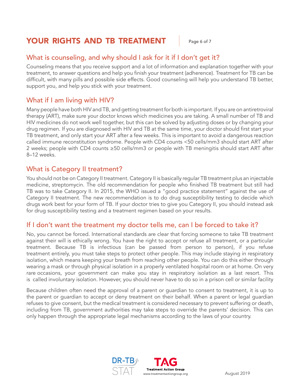# YOUR RIGHTS AND TB TREATMENT | Page 6 of 7

# What is counseling, and why should I ask for it if I don't get it?

Counseling means that you receive support and a lot of information and explanation together with your treatment, to answer questions and help you finish your treatment (adherence). Treatment for TB can be difficult, with many pills and possible side effects. Good counseling will help you understand TB better, support you, and help you stick with your treatment.

# What if I am living with HIV?

Many people have both HIV and TB, and getting treatment for both is important. If you are on antiretroviral therapy (ART), make sure your doctor knows which medicines you are taking. A small number of TB and HIV medicines do not work well together, but this can be solved by adjusting doses or by changing your drug regimen. If you are diagnosed with HIV and TB at the same time, your doctor should first start your TB treatment, and only start your ART after a few weeks. This is important to avoid a dangerous reaction called immune reconstitution syndrome. People with CD4 counts <50 cells/mm3 should start ART after 2 weeks; people with CD4 counts ≥50 cells/mm3 or people with TB meningitis should start ART after 8–12 weeks.

### What is Category II treatment?

You should not be on Category II treatment. Category II is basically regular TB treatment plus an injectable medicine, streptomycin. The old recommendation for people who finished TB treatment but still had TB was to take Category II. In 2015, the WHO issued a "good practice statement" against the use of Category II treatment. The new recommendation is to do drug susceptibility testing to decide which drugs work best for your form of TB. If your doctor tries to give you Category II, you should instead ask for drug susceptibility testing and a treatment regimen based on your results.

### If I don't want the treatment my doctor tells me, can I be forced to take it?

No, you cannot be forced. International standards are clear that forcing someone to take TB treatment against their will is ethically wrong. You have the right to accept or refuse all treatment, or a particular treatment. Because TB is infectious (can be passed from person to person), if you refuse treatment entirely, you must take steps to protect other people. This may include staying in respiratory isolation, which means keeping your breath from reaching other people. You can do this either through wearing a mask or through physical isolation in a properly ventilated hospital room or at home. On very rare occasions, your government can make you stay in respiratory isolation as a last resort. This is called involuntary isolation. However, you should never have to do so in a prison cell or similar facility

Because children often need the approval of a parent or guardian to consent to treatment, it is up to the parent or guardian to accept or deny treatment on their behalf. When a parent or legal guardian refuses to give consent, but the medical treatment is considered necessary to prevent suffering or death, including from TB, government authorities may take steps to override the parents' decision. This can only happen through the appropriate legal mechanisms according to the laws of your country.